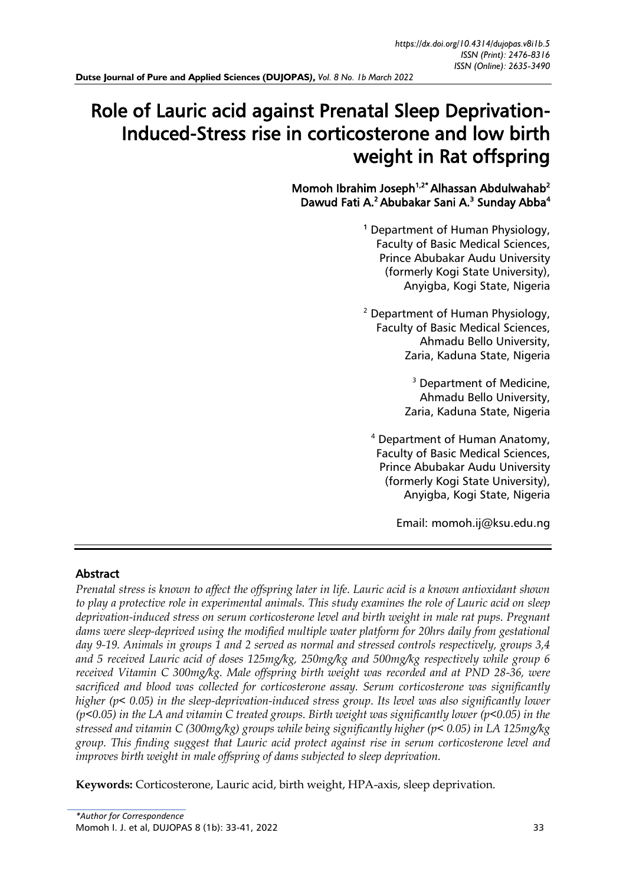# Role of Lauric acid against Prenatal Sleep Deprivation-Induced-Stress rise in corticosterone and low birth weight in Rat offspring

Momoh Ibrahim Joseph<sup>1,2\*</sup> Alhassan Abdulwahab<sup>2</sup> Dawud Fati A.<sup>2</sup> Abubakar Sani A.<sup>3</sup> Sunday Abba<sup>4</sup>

> 1 Department of Human Physiology, Faculty of Basic Medical Sciences, Prince Abubakar Audu University (formerly Kogi State University), Anyigba, Kogi State, Nigeria

> <sup>2</sup> Department of Human Physiology, Faculty of Basic Medical Sciences, Ahmadu Bello University, Zaria, Kaduna State, Nigeria

> > <sup>3</sup> Department of Medicine, Ahmadu Bello University, Zaria, Kaduna State, Nigeria

<sup>4</sup> Department of Human Anatomy, Faculty of Basic Medical Sciences, Prince Abubakar Audu University (formerly Kogi State University), Anyigba, Kogi State, Nigeria

Email: [momoh.ij@ksu.edu.ng](mailto:momoh.ij@ksu.edu.ng)

## Abstract

*Prenatal stress is known to affect the offspring later in life. Lauric acid is a known antioxidant shown to play a protective role in experimental animals. This study examines the role of Lauric acid on sleep deprivation-induced stress on serum corticosterone level and birth weight in male rat pups. Pregnant*  dams were sleep-deprived using the modified multiple water platform for 20hrs daily from gestational *day 9-19. Animals in groups 1 and 2 served as normal and stressed controls respectively, groups 3,4 and 5 received Lauric acid of doses 125mg/kg, 250mg/kg and 500mg/kg respectively while group 6 received Vitamin C 300mg/kg. Male offspring birth weight was recorded and at PND 28-36, were sacrificed and blood was collected for corticosterone assay. Serum corticosterone was significantly higher (p< 0.05) in the sleep-deprivation-induced stress group. Its level was also significantly lower (p<0.05) in the LA and vitamin C treated groups. Birth weight was significantly lower (p<0.05) in the stressed and vitamin C (300mg/kg) groups while being significantly higher (p< 0.05) in LA 125mg/kg group. This finding suggest that Lauric acid protect against rise in serum corticosterone level and improves birth weight in male offspring of dams subjected to sleep deprivation.* 

**Keywords:** Corticosterone, Lauric acid, birth weight, HPA-axis, sleep deprivation.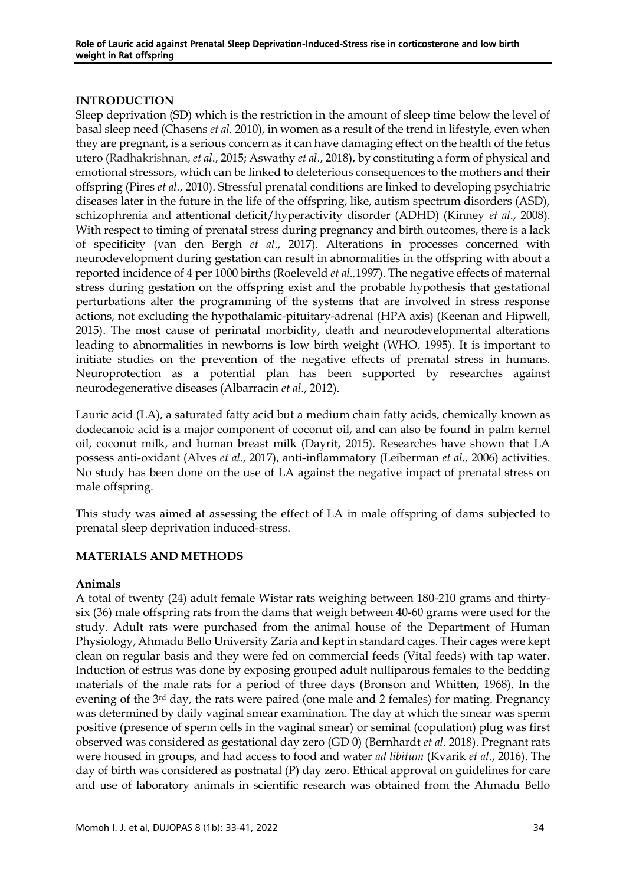#### **INTRODUCTION**

Sleep deprivation (SD) which is the restriction in the amount of sleep time below the level of basal sleep need (Chasens *et al.* 2010), in women as a result of the trend in lifestyle, even when they are pregnant, is a serious concern as it can have damaging effect on the health of the fetus utero (Radhakrishnan, *et al*., 2015; Aswathy *et al*., 2018), by constituting a form of physical and emotional stressors, which can be linked to deleterious consequences to the mothers and their offspring (Pires *et al.*, 2010). Stressful prenatal conditions are linked to developing psychiatric diseases later in the future in the life of the offspring, like, autism spectrum disorders (ASD), schizophrenia and attentional deficit/hyperactivity disorder (ADHD) (Kinney *et al*., 2008). With respect to timing of prenatal stress during pregnancy and birth outcomes, there is a lack of specificity (van den Bergh *et al*., 2017). Alterations in processes concerned with neurodevelopment during gestation can result in abnormalities in the offspring with about a reported incidence of 4 per 1000 births (Roeleveld *et al.,*1997). The negative effects of maternal stress during gestation on the offspring exist and the probable hypothesis that gestational perturbations alter the programming of the systems that are involved in stress response actions, not excluding the hypothalamic-pituitary-adrenal (HPA axis) (Keenan and Hipwell, 2015). The most cause of perinatal morbidity, death and neurodevelopmental alterations leading to abnormalities in newborns is low birth weight (WHO, 1995). It is important to initiate studies on the prevention of the negative effects of prenatal stress in humans. Neuroprotection as a potential plan has been supported by researches against neurodegenerative diseases (Albarracin *et al*., 2012).

Lauric acid (LA), a saturated fatty acid but a medium chain fatty acids, chemically known as dodecanoic acid is a major component of coconut oil, and can also be found in palm kernel oil, coconut milk, and human breast milk (Dayrit, 2015). Researches have shown that LA possess anti-oxidant (Alves *et al*., 2017), anti-inflammatory (Leiberman *et al.,* 2006) activities. No study has been done on the use of LA against the negative impact of prenatal stress on male offspring.

This study was aimed at assessing the effect of LA in male offspring of dams subjected to prenatal sleep deprivation induced-stress.

#### **MATERIALS AND METHODS**

#### **Animals**

A total of twenty (24) adult female Wistar rats weighing between 180-210 grams and thirtysix (36) male offspring rats from the dams that weigh between 40-60 grams were used for the study. Adult rats were purchased from the animal house of the Department of Human Physiology, Ahmadu Bello University Zaria and kept in standard cages. Their cages were kept clean on regular basis and they were fed on commercial feeds (Vital feeds) with tap water. Induction of estrus was done by exposing grouped adult nulliparous females to the bedding materials of the male rats for a period of three days (Bronson and Whitten, 1968). In the evening of the 3rd day, the rats were paired (one male and 2 females) for mating. Pregnancy was determined by daily vaginal smear examination. The day at which the smear was sperm positive (presence of sperm cells in the vaginal smear) or seminal (copulation) plug was first observed was considered as gestational day zero (GD 0) (Bernhardt *et al.* 2018). Pregnant rats were housed in groups, and had access to food and water *ad libitum* (Kvarik *et al*., 2016). The day of birth was considered as postnatal (P) day zero. Ethical approval on guidelines for care and use of laboratory animals in scientific research was obtained from the Ahmadu Bello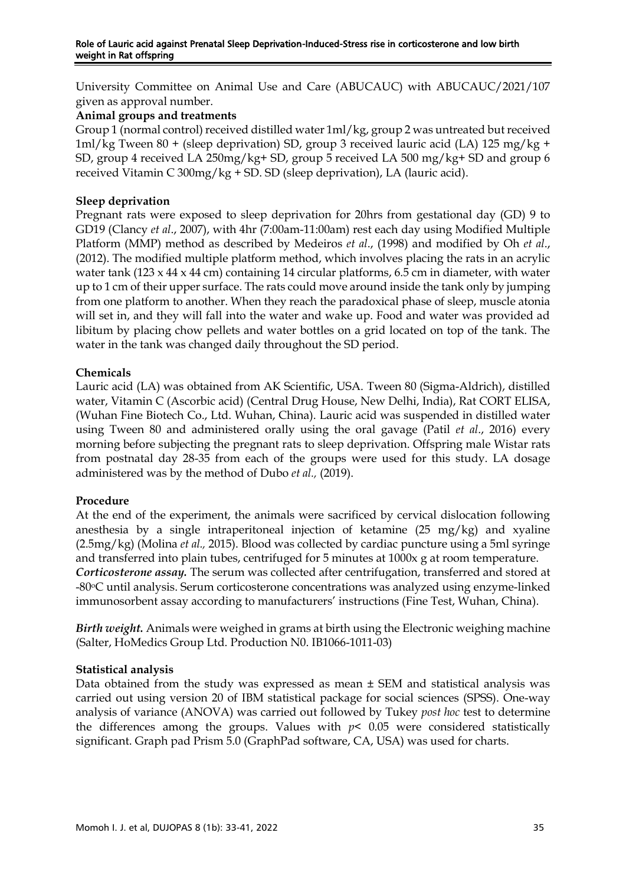University Committee on Animal Use and Care (ABUCAUC) with ABUCAUC/2021/107 given as approval number.

#### **Animal groups and treatments**

Group 1 (normal control) received distilled water 1ml/kg, group 2 was untreated but received 1ml/kg Tween 80 + (sleep deprivation) SD, group 3 received lauric acid (LA) 125 mg/kg + SD, group 4 received LA 250mg/kg+ SD, group 5 received LA 500 mg/kg+ SD and group 6 received Vitamin C 300mg/kg + SD. SD (sleep deprivation), LA (lauric acid).

#### **Sleep deprivation**

Pregnant rats were exposed to sleep deprivation for 20hrs from gestational day (GD) 9 to GD19 (Clancy *et al*., 2007), with 4hr (7:00am-11:00am) rest each day using Modified Multiple Platform (MMP) method as described by Medeiros *et al*., (1998) and modified by Oh *et al*., (2012). The modified multiple platform method, which involves placing the rats in an acrylic water tank (123 x 44 x 44 cm) containing 14 circular platforms, 6.5 cm in diameter, with water up to 1 cm of their upper surface. The rats could move around inside the tank only by jumping from one platform to another. When they reach the paradoxical phase of sleep, muscle atonia will set in, and they will fall into the water and wake up. Food and water was provided ad libitum by placing chow pellets and water bottles on a grid located on top of the tank. The water in the tank was changed daily throughout the SD period.

#### **Chemicals**

Lauric acid (LA) was obtained from AK Scientific, USA. Tween 80 (Sigma-Aldrich), distilled water, Vitamin C (Ascorbic acid) (Central Drug House, New Delhi, India), Rat CORT ELISA, (Wuhan Fine Biotech Co., Ltd. Wuhan, China). Lauric acid was suspended in distilled water using Tween 80 and administered orally using the oral gavage (Patil *et al*., 2016) every morning before subjecting the pregnant rats to sleep deprivation. Offspring male Wistar rats from postnatal day 28-35 from each of the groups were used for this study. LA dosage administered was by the method of Dubo *et al.,* (2019).

#### **Procedure**

At the end of the experiment, the animals were sacrificed by cervical dislocation following anesthesia by a single intraperitoneal injection of ketamine (25 mg/kg) and xyaline (2.5mg/kg) (Molina *et al.,* 2015). Blood was collected by cardiac puncture using a 5ml syringe and transferred into plain tubes, centrifuged for 5 minutes at 1000x g at room temperature. *Corticosterone assay.* The serum was collected after centrifugation, transferred and stored at -80oC until analysis. Serum corticosterone concentrations was analyzed using enzyme-linked immunosorbent assay according to manufacturers' instructions (Fine Test, Wuhan, China).

*Birth weight.* Animals were weighed in grams at birth using the Electronic weighing machine (Salter, HoMedics Group Ltd. Production N0. IB1066-1011-03)

#### **Statistical analysis**

Data obtained from the study was expressed as mean ± SEM and statistical analysis was carried out using version 20 of IBM statistical package for social sciences (SPSS). One-way analysis of variance (ANOVA) was carried out followed by Tukey *post hoc* test to determine the differences among the groups. Values with  $p$ < 0.05 were considered statistically significant. Graph pad Prism 5.0 (GraphPad software, CA, USA) was used for charts.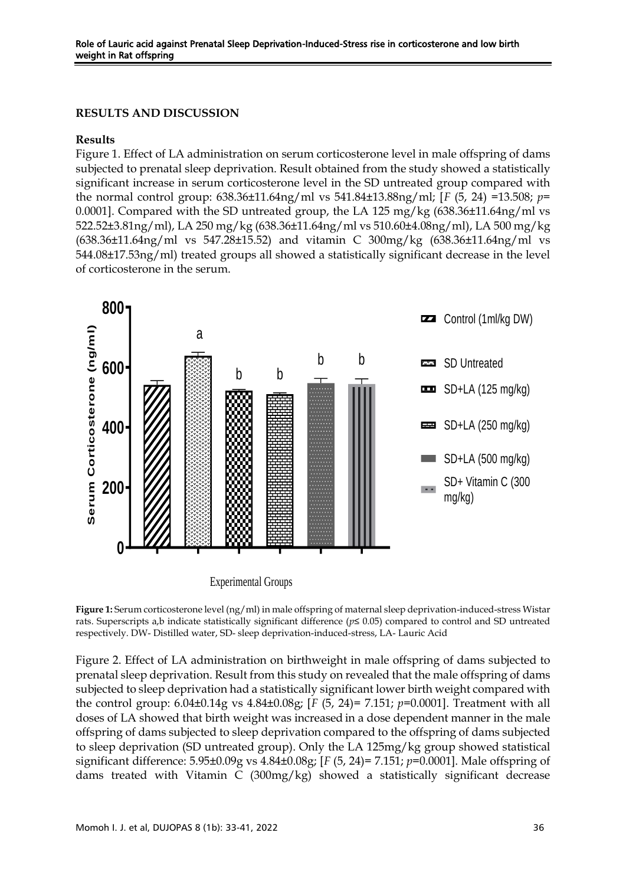#### **RESULTS AND DISCUSSION**

#### **Results**

Figure 1. Effect of LA administration on serum corticosterone level in male offspring of dams subjected to prenatal sleep deprivation. Result obtained from the study showed a statistically significant increase in serum corticosterone level in the SD untreated group compared with the normal control group: 638.36±11.64ng/ml vs 541.84±13.88ng/ml; [*F* (5, 24) =13.508; *p*= 0.0001]. Compared with the SD untreated group, the LA 125 mg/kg  $(638.36\pm11.64$ ng/ml vs 522.52±3.81ng/ml), LA 250 mg/kg (638.36±11.64ng/ml vs 510.60±4.08ng/ml), LA 500 mg/kg (638.36±11.64ng/ml vs 547.28±15.52) and vitamin C 300mg/kg (638.36±11.64ng/ml vs 544.08±17.53ng/ml) treated groups all showed a statistically significant decrease in the level of corticosterone in the serum.



Experimental Groups

**Figure 1:** Serum corticosterone level (ng/ml) in male offspring of maternal sleep deprivation-induced-stress Wistar rats. Superscripts a,b indicate statistically significant difference (*p*≤ 0.05) compared to control and SD untreated respectively. DW- Distilled water, SD- sleep deprivation-induced-stress, LA- Lauric Acid

Figure 2. Effect of LA administration on birthweight in male offspring of dams subjected to prenatal sleep deprivation. Result from this study on revealed that the male offspring of dams subjected to sleep deprivation had a statistically significant lower birth weight compared with the control group: 6.04±0.14g vs 4.84±0.08g; [*F* (5, 24)= 7.151; *p*=0.0001]. Treatment with all doses of LA showed that birth weight was increased in a dose dependent manner in the male offspring of dams subjected to sleep deprivation compared to the offspring of dams subjected to sleep deprivation (SD untreated group). Only the LA 125mg/kg group showed statistical significant difference: 5.95±0.09g vs 4.84±0.08g; [*F* (5, 24)= 7.151; *p*=0.0001]. Male offspring of dams treated with Vitamin C (300mg/kg) showed a statistically significant decrease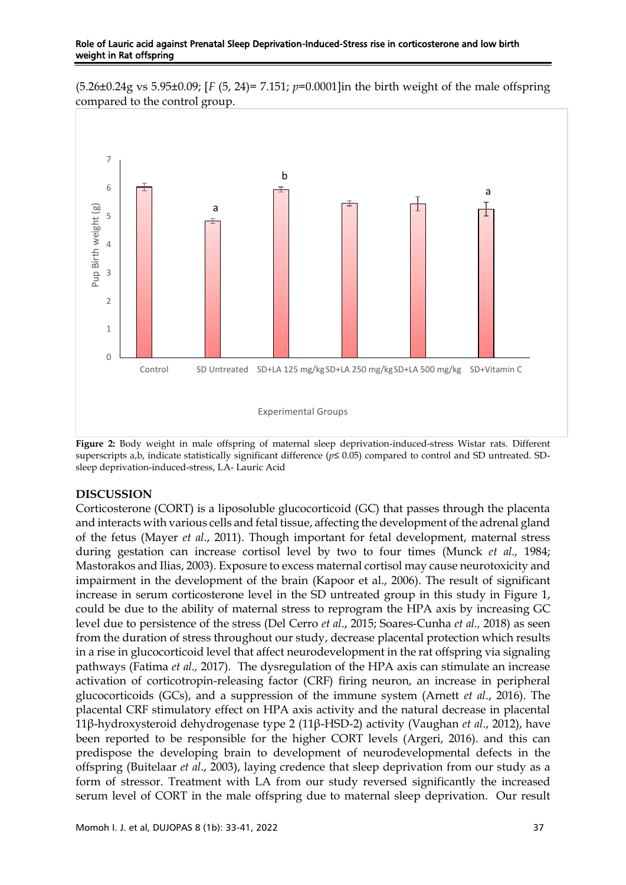

(5.26±0.24g vs 5.95±0.09; [*F* (5, 24)= 7.151; *p*=0.0001]in the birth weight of the male offspring compared to the control group.

**Figure 2:** Body weight in male offspring of maternal sleep deprivation-induced-stress Wistar rats. Different superscripts a,b, indicate statistically significant difference (*p*≤ 0.05) compared to control and SD untreated. SDsleep deprivation-induced-stress, LA- Lauric Acid

#### **DISCUSSION**

Corticosterone (CORT) is a liposoluble glucocorticoid (GC) that passes through the placenta and interacts with various cells and fetal tissue, affecting the development of the adrenal gland of the fetus (Mayer *et al*., 2011). Though important for fetal development, maternal stress during gestation can increase cortisol level by two to four times (Munck *et al.,* 1984; Mastorakos and Ilias, 2003). Exposure to excess maternal cortisol may cause neurotoxicity and impairment in the development of the brain (Kapoor et al., 2006). The result of significant increase in serum corticosterone level in the SD untreated group in this study in Figure 1, could be due to the ability of maternal stress to reprogram the HPA axis by increasing GC level due to persistence of the stress (Del Cerro *et al*., 2015; Soares-Cunha *et al.,* 2018) as seen from the duration of stress throughout our study, decrease placental protection which results in a rise in glucocorticoid level that affect neurodevelopment in the rat offspring via signaling pathways (Fatima *et al.,* 2017). The dysregulation of the HPA axis can stimulate an increase activation of corticotropin-releasing factor (CRF) firing neuron, an increase in peripheral glucocorticoids (GCs), and a suppression of the immune system (Arnett *et al*., 2016). The placental CRF stimulatory effect on HPA axis activity and the natural decrease in placental 11β-hydroxysteroid dehydrogenase type 2 (11β-HSD-2) activity (Vaughan *et al*., 2012), have been reported to be responsible for the higher CORT levels (Argeri, 2016). and this can predispose the developing brain to development of neurodevelopmental defects in the offspring (Buitelaar *et al*., 2003), laying credence that sleep deprivation from our study as a form of stressor. Treatment with LA from our study reversed significantly the increased serum level of CORT in the male offspring due to maternal sleep deprivation. Our result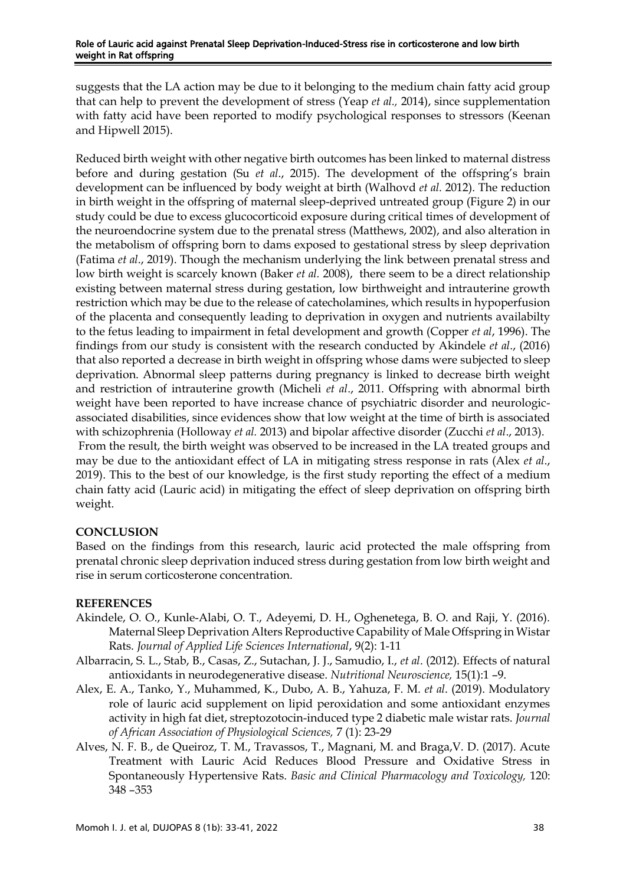suggests that the LA action may be due to it belonging to the medium chain fatty acid group that can help to prevent the development of stress (Yeap *et al.,* 2014), since supplementation with fatty acid have been reported to modify psychological responses to stressors (Keenan and Hipwell 2015).

Reduced birth weight with other negative birth outcomes has been linked to maternal distress before and during gestation (Su *et al*., 2015). The development of the offspring's brain development can be influenced by body weight at birth (Walhovd *et al.* 2012). The reduction in birth weight in the offspring of maternal sleep-deprived untreated group (Figure 2) in our study could be due to excess glucocorticoid exposure during critical times of development of the neuroendocrine system due to the prenatal stress (Matthews, 2002), and also alteration in the metabolism of offspring born to dams exposed to gestational stress by sleep deprivation (Fatima *et al*., 2019). Though the mechanism underlying the link between prenatal stress and low birth weight is scarcely known (Baker *et al.* 2008), there seem to be a direct relationship existing between maternal stress during gestation, low birthweight and intrauterine growth restriction which may be due to the release of catecholamines, which results in hypoperfusion of the placenta and consequently leading to deprivation in oxygen and nutrients availabilty to the fetus leading to impairment in fetal development and growth (Copper *et al*, 1996). The findings from our study is consistent with the research conducted by Akindele *et al*., (2016) that also reported a decrease in birth weight in offspring whose dams were subjected to sleep deprivation. Abnormal sleep patterns during pregnancy is linked to decrease birth weight and restriction of intrauterine growth (Micheli *et al*., 2011. Offspring with abnormal birth weight have been reported to have increase chance of psychiatric disorder and neurologicassociated disabilities, since evidences show that low weight at the time of birth is associated with schizophrenia (Holloway *et al.* 2013) and bipolar affective disorder (Zucchi *et al*., 2013). From the result, the birth weight was observed to be increased in the LA treated groups and may be due to the antioxidant effect of LA in mitigating stress response in rats (Alex *et al*., 2019). This to the best of our knowledge, is the first study reporting the effect of a medium chain fatty acid (Lauric acid) in mitigating the effect of sleep deprivation on offspring birth weight.

### **CONCLUSION**

Based on the findings from this research, lauric acid protected the male offspring from prenatal chronic sleep deprivation induced stress during gestation from low birth weight and rise in serum corticosterone concentration.

#### **REFERENCES**

- Akindele, O. O., Kunle-Alabi, O. T., Adeyemi, D. H., Oghenetega, B. O. and Raji, Y. (2016). Maternal Sleep Deprivation Alters Reproductive Capability of Male Offspring in Wistar Rats. *Journal of Applied Life Sciences International*, 9(2): 1-11
- Albarracin, S. L., Stab, B., Casas, Z., Sutachan, J. J., Samudio, I., *et al*. (2012). Effects of natural antioxidants in neurodegenerative disease. *Nutritional Neuroscience,* 15(1):1 –9.
- Alex, E. A., Tanko, Y., Muhammed, K., Dubo, A. B., Yahuza, F. M. *et al*. (2019). Modulatory role of lauric acid supplement on lipid peroxidation and some antioxidant enzymes activity in high fat diet, streptozotocin-induced type 2 diabetic male wistar rats. *Journal of African Association of Physiological Sciences,* 7 (1): 23-29
- Alves, N. F. B., de Queiroz, T. M., Travassos, T., Magnani, M. and Braga,V. D. (2017). Acute Treatment with Lauric Acid Reduces Blood Pressure and Oxidative Stress in Spontaneously Hypertensive Rats. *Basic and Clinical Pharmacology and Toxicology,* 120: 348 –353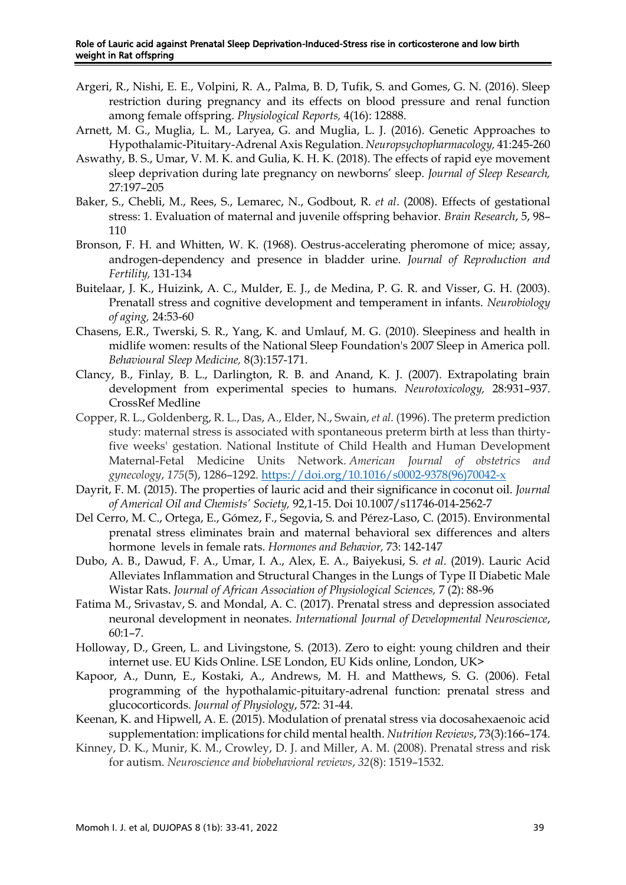- Argeri, R., Nishi, E. E., Volpini, R. A., Palma, B. D, Tufik, S. and Gomes, G. N. (2016). Sleep restriction during pregnancy and its effects on blood pressure and renal function among female offspring. *Physiological Reports,* 4(16): 12888.
- Arnett, M. G., Muglia, L. M., Laryea, G. and Muglia, L. J. (2016). Genetic Approaches to Hypothalamic-Pituitary-Adrenal Axis Regulation. *Neuropsychopharmacology,* 41:245-260
- Aswathy, B. S., Umar, V. M. K. and Gulia, K. H. K. (2018). The effects of rapid eye movement sleep deprivation during late pregnancy on newborns' sleep. *Journal of Sleep Research,* 27:197–205
- Baker, S., Chebli, M., Rees, S., Lemarec, N., Godbout, R. *et al*. (2008). Effects of gestational stress: 1. Evaluation of maternal and juvenile offspring behavior. *Brain Research*, 5, 98– 110
- Bronson, F. H. and Whitten, W. K. (1968). Oestrus-accelerating pheromone of mice; assay, androgen-dependency and presence in bladder urine. *Journal of Reproduction and Fertility,* 131-134
- Buitelaar, J. K., Huizink, A. C., Mulder, E. J., de Medina, P. G. R. and Visser, G. H. (2003). Prenatall stress and cognitive development and temperament in infants. *Neurobiology of aging,* 24:53-60
- Chasens, E.R., Twerski, S. R., Yang, K. and Umlauf, M. G. (2010). Sleepiness and health in midlife women: results of the National Sleep Foundation's 2007 Sleep in America poll. *Behavioural Sleep Medicine,* 8(3):157-171.
- Clancy, B., Finlay, B. L., Darlington, R. B. and Anand, K. J. (2007). Extrapolating brain development from experimental species to humans. *Neurotoxicology,* 28:931–937. CrossRef Medline
- Copper, R. L., Goldenberg, R. L., Das, A., Elder, N., Swain, *et al.* (1996). The preterm prediction study: maternal stress is associated with spontaneous preterm birth at less than thirtyfive weeks' gestation. National Institute of Child Health and Human Development Maternal-Fetal Medicine Units Network. *American Journal of obstetrics and gynecology*, *175*(5), 1286–1292. [https://doi.org/10.1016/s0002-9378\(96\)70042-x](https://doi.org/10.1016/s0002-9378(96)70042-x)
- Dayrit, F. M. (2015). The properties of lauric acid and their significance in coconut oil. *Journal of Americal Oil and Chemists' Society,* 92,1-15. Doi 10.1007/s11746-014-2562-7
- Del Cerro, M. C., Ortega, E., Gómez, F., Segovia, S. and Pérez-Laso, C. (2015). Environmental prenatal stress eliminates brain and maternal behavioral sex differences and alters hormone levels in female rats. *Hormones and Behavior,* 73: 142‐147
- Dubo, A. B., Dawud, F. A., Umar, I. A., Alex, E. A., Baiyekusi, S. *et al.* (2019). Lauric Acid Alleviates Inflammation and Structural Changes in the Lungs of Type II Diabetic Male Wistar Rats. *Journal of African Association of Physiological Sciences,* 7 (2): 88-96
- Fatima M., Srivastav, S. and Mondal, A. C. (2017). Prenatal stress and depression associated neuronal development in neonates. *International Journal of Developmental Neuroscience*, 60:1–7.
- Holloway, D., Green, L. and Livingstone, S. (2013). Zero to eight: young children and their internet use. EU Kids Online. LSE London, EU Kids online, London, UK>
- Kapoor, A., Dunn, E., Kostaki, A., Andrews, M. H. and Matthews, S. G. (2006). Fetal programming of the hypothalamic-pituitary-adrenal function: prenatal stress and glucocorticords. *Journal of Physiology*, 572: 31-44.
- Keenan, K. and Hipwell, A. E. (2015). Modulation of prenatal stress via docosahexaenoic acid supplementation: implications for child mental health. *Nutrition Reviews*, 73(3):166–174.
- Kinney, D. K., Munir, K. M., Crowley, D. J. and Miller, A. M. (2008). Prenatal stress and risk for autism. *Neuroscience and biobehavioral reviews*, *32*(8): 1519–1532.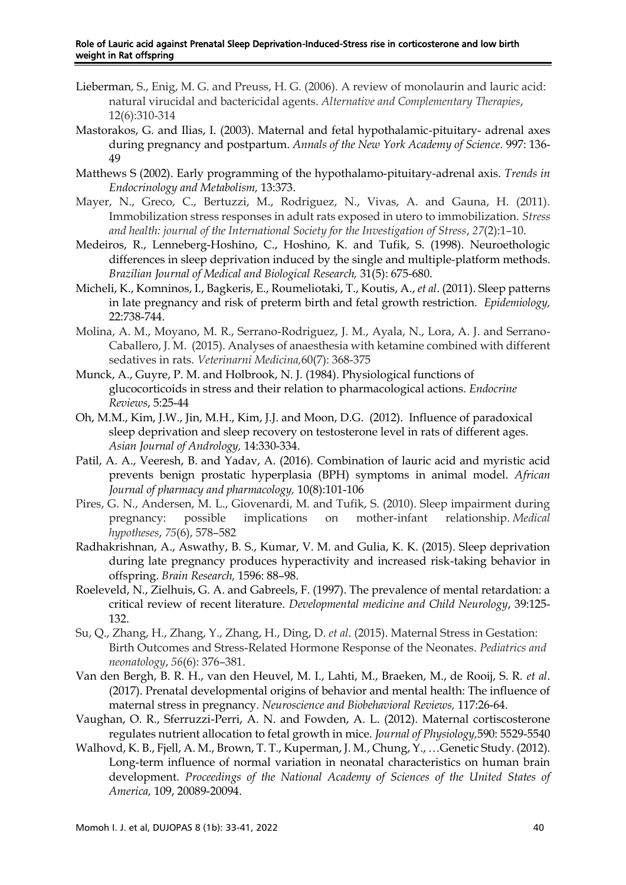- Lieberman, S., Enig, M. G. and Preuss, H. G. (2006). A review of monolaurin and lauric acid: natural virucidal and bactericidal agents. *Alternative and Complementary Therapies*, 12(6):310-314
- Mastorakos, G. and Ilias, I. (2003). Maternal and fetal hypothalamic-pituitary- adrenal axes during pregnancy and postpartum. *Annals of the New York Academy of Science.* 997: 136- 49
- Matthews S (2002). Early programming of the hypothalamo-pituitary-adrenal axis. *Trends in Endocrinology and Metabolism,* 13:373.
- Mayer, N., Greco, C., Bertuzzi, M., Rodriguez, N., Vivas, A. and Gauna, H. (2011). Immobilization stress responses in adult rats exposed in utero to immobilization. *Stress and health: journal of the International Society for the Investigation of Stress*, *27*(2):1–10.
- Medeiros, R., Lenneberg-Hoshino, C., Hoshino, K. and Tufik, S. (1998). Neuroethologic differences in sleep deprivation induced by the single and multiple-platform methods. *Brazilian Journal of Medical and Biological Research,* 31(5): 675-680.
- Micheli, K., Komninos, I., Bagkeris, E., Roumeliotaki, T., Koutis, A., *et al*. (2011). Sleep patterns in late pregnancy and risk of preterm birth and fetal growth restriction. *Epidemiology,*  22:738-744.
- Molina, A. M., Moyano, M. R., Serrano-Rodriguez, J. M., Ayala, N., Lora, A. J. and Serrano-Caballero, J. M. (2015). Analyses of anaesthesia with ketamine combined with different sedatives in rats. *Veterinarni Medicina,*60(7): 368-375
- Munck, A., Guyre, P. M. and Holbrook, N. J. (1984). Physiological functions of glucocorticoids in stress and their relation to pharmacological actions. *Endocrine Reviews*, 5:25-44
- Oh, M.M., Kim, J.W., Jin, M.H., Kim, J.J. and Moon, D.G. (2012). Influence of paradoxical sleep deprivation and sleep recovery on testosterone level in rats of different ages. *Asian Journal of Andrology,* 14:330-334.
- Patil, A. A., Veeresh, B. and Yadav, A. (2016). Combination of lauric acid and myristic acid prevents benign prostatic hyperplasia (BPH) symptoms in animal model. *African Journal of pharmacy and pharmacology,* 10(8):101-106
- Pires, G. N., Andersen, M. L., Giovenardi, M. and Tufik, S. (2010). Sleep impairment during pregnancy: possible implications on mother-infant relationship. *Medical hypotheses*, *75*(6), 578–582
- Radhakrishnan, A., Aswathy, B. S., Kumar, V. M. and Gulia, K. K. (2015). Sleep deprivation during late pregnancy produces hyperactivity and increased risk-taking behavior in offspring. *Brain Research,* 1596: 88–98.
- Roeleveld, N., Zielhuis, G. A. and Gabreels, F. (1997). The prevalence of mental retardation: a critical review of recent literature. *Developmental medicine and Child Neurology*, 39:125- 132.
- Su, Q., Zhang, H., Zhang, Y., Zhang, H., Ding, D. *et al*. (2015). Maternal Stress in Gestation: Birth Outcomes and Stress-Related Hormone Response of the Neonates. *Pediatrics and neonatology*, *56*(6): 376–381.
- Van den Bergh, B. R. H., van den Heuvel, M. I., Lahti, M., Braeken, M., de Rooij, S. R. *et al*. (2017). Prenatal developmental origins of behavior and mental health: The influence of maternal stress in pregnancy. *Neuroscience and Biobehavioral Reviews,* 117:26-64.
- Vaughan, O. R., Sferruzzi-Perri, A. N. and Fowden, A. L. (2012). Maternal cortiscosterone regulates nutrient allocation to fetal growth in mice. *Journal of Physiology,*590: 5529-5540
- Walhovd, K. B., Fjell, A. M., Brown, T. T., Kuperman, J. M., Chung, Y., …Genetic Study. (2012). Long-term influence of normal variation in neonatal characteristics on human brain development. *Proceedings of the National Academy of Sciences of the United States of America,* 109, 20089-20094.